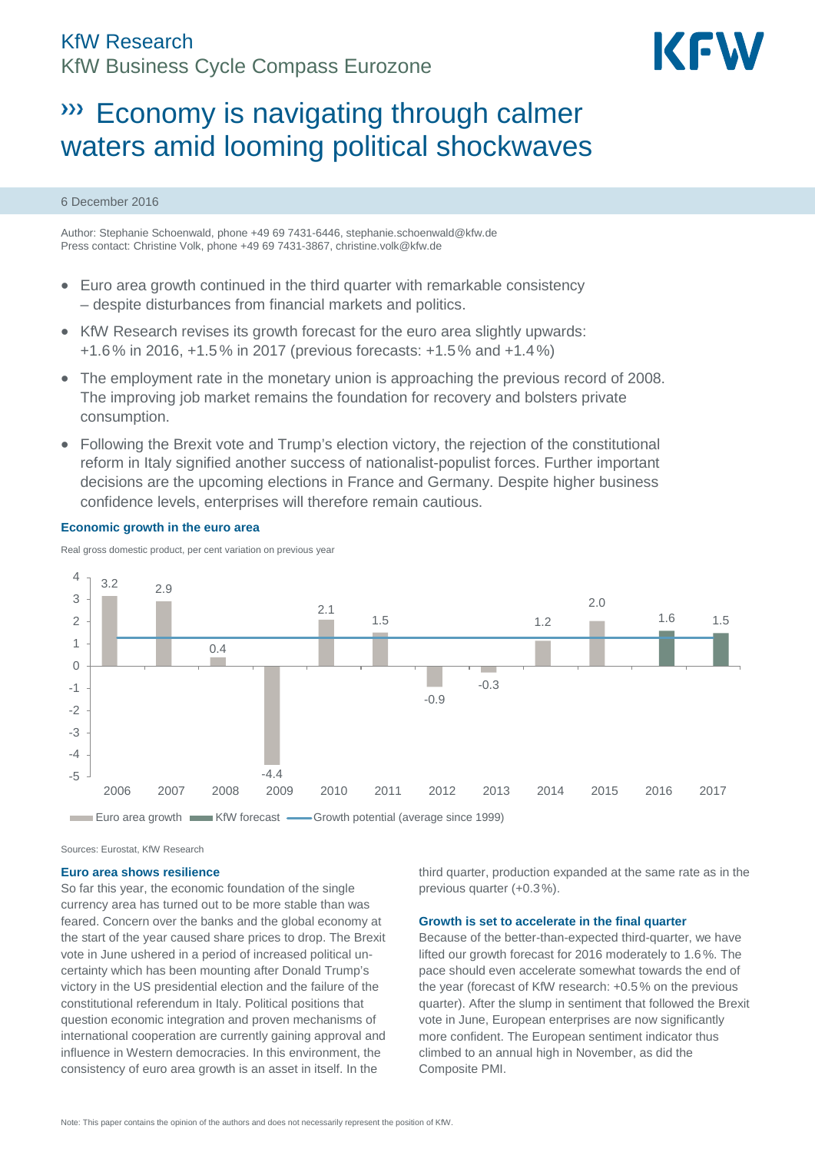# KfW Research KfW Business Cycle Compass Eurozone



# **WECONOMY is navigating through calmer** waters amid looming political shockwaves

### 6 December 2016

Author: Stephanie Schoenwald, phone +49 69 7431-6446, [stephanie.schoenwald@kfw.de](mailto:stephanie.schoenwald@kfw.de) Press contact: Christine Volk, phone +49 69 7431-3867[, christine.volk@kfw.de](mailto:christine.volk@kfw.de)

- Euro area growth continued in the third quarter with remarkable consistency – despite disturbances from financial markets and politics.
- KfW Research revises its growth forecast for the euro area slightly upwards: +1.6% in 2016, +1.5% in 2017 (previous forecasts: +1.5% and +1.4%)
- The employment rate in the monetary union is approaching the previous record of 2008. The improving job market remains the foundation for recovery and bolsters private consumption.
- Following the Brexit vote and Trump's election victory, the rejection of the constitutional reform in Italy signified another success of nationalist-populist forces. Further important decisions are the upcoming elections in France and Germany. Despite higher business confidence levels, enterprises will therefore remain cautious.

### **Economic growth in the euro area**

Real gross domestic product, per cent variation on previous year



Sources: Eurostat, KfW Research

#### **Euro area shows resilience**

So far this year, the economic foundation of the single currency area has turned out to be more stable than was feared. Concern over the banks and the global economy at the start of the year caused share prices to drop. The Brexit vote in June ushered in a period of increased political uncertainty which has been mounting after Donald Trump's victory in the US presidential election and the failure of the constitutional referendum in Italy. Political positions that question economic integration and proven mechanisms of international cooperation are currently gaining approval and influence in Western democracies. In this environment, the consistency of euro area growth is an asset in itself. In the

third quarter, production expanded at the same rate as in the previous quarter (+0.3%).

#### **Growth is set to accelerate in the final quarter**

Because of the better-than-expected third-quarter, we have lifted our growth forecast for 2016 moderately to 1.6%. The pace should even accelerate somewhat towards the end of the year (forecast of KfW research: +0.5% on the previous quarter). After the slump in sentiment that followed the Brexit vote in June, European enterprises are now significantly more confident. The European sentiment indicator thus climbed to an annual high in November, as did the Composite PMI.